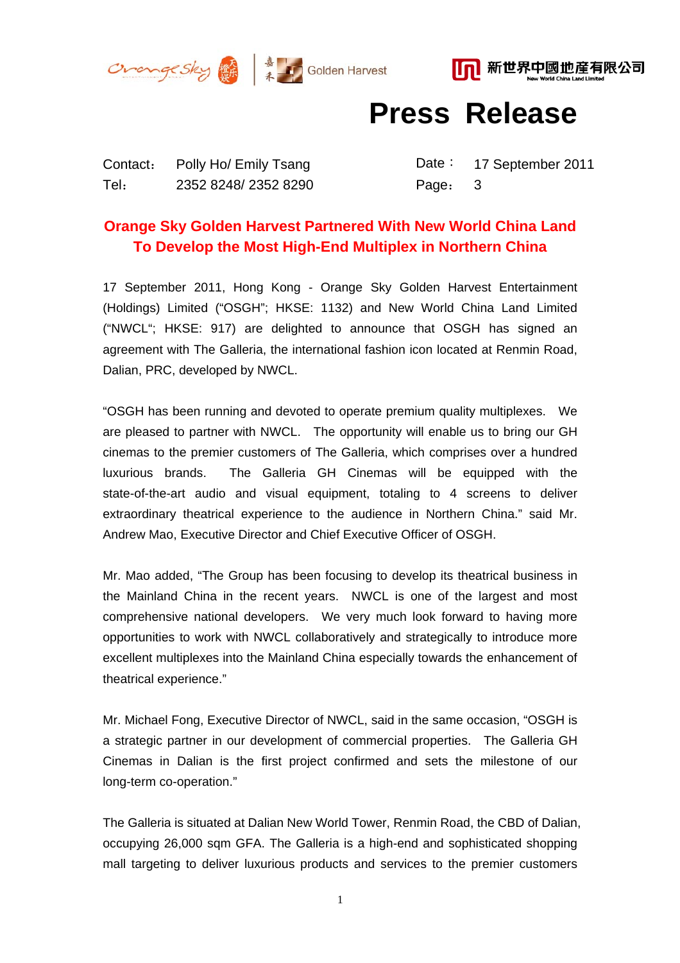





**Press Release** 

Contact: Polly Ho/ Emily Tsang Date: 17 September 2011 Tel: 2352 8248/ 2352 8290 Page: 3

## **Orange Sky Golden Harvest Partnered With New World China Land To Develop the Most High-End Multiplex in Northern China**

17 September 2011, Hong Kong - Orange Sky Golden Harvest Entertainment (Holdings) Limited ("OSGH"; HKSE: 1132) and New World China Land Limited ("NWCL"; HKSE: 917) are delighted to announce that OSGH has signed an agreement with The Galleria, the international fashion icon located at Renmin Road, Dalian, PRC, developed by NWCL.

"OSGH has been running and devoted to operate premium quality multiplexes. We are pleased to partner with NWCL. The opportunity will enable us to bring our GH cinemas to the premier customers of The Galleria, which comprises over a hundred luxurious brands. The Galleria GH Cinemas will be equipped with the state-of-the-art audio and visual equipment, totaling to 4 screens to deliver extraordinary theatrical experience to the audience in Northern China." said Mr. Andrew Mao, Executive Director and Chief Executive Officer of OSGH.

Mr. Mao added, "The Group has been focusing to develop its theatrical business in the Mainland China in the recent years. NWCL is one of the largest and most comprehensive national developers. We very much look forward to having more opportunities to work with NWCL collaboratively and strategically to introduce more excellent multiplexes into the Mainland China especially towards the enhancement of theatrical experience."

Mr. Michael Fong, Executive Director of NWCL, said in the same occasion, "OSGH is a strategic partner in our development of commercial properties. The Galleria GH Cinemas in Dalian is the first project confirmed and sets the milestone of our long-term co-operation."

The Galleria is situated at Dalian New World Tower, Renmin Road, the CBD of Dalian, occupying 26,000 sqm GFA. The Galleria is a high-end and sophisticated shopping mall targeting to deliver luxurious products and services to the premier customers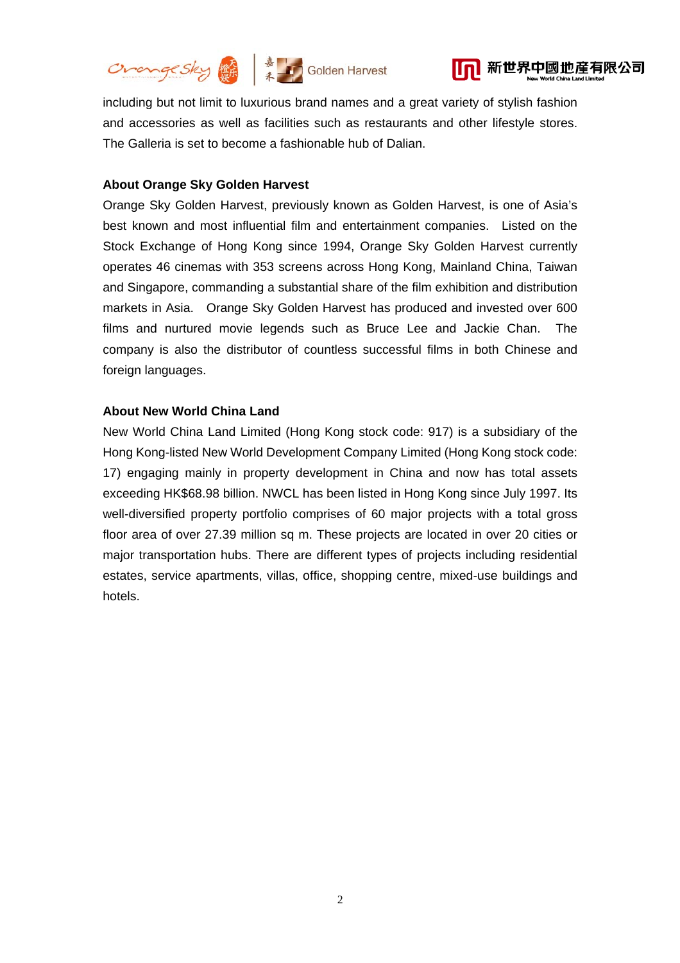



including but not limit to luxurious brand names and a great variety of stylish fashion and accessories as well as facilities such as restaurants and other lifestyle stores. The Galleria is set to become a fashionable hub of Dalian.

## **About Orange Sky Golden Harvest**

Orange Sky Golden Harvest, previously known as Golden Harvest, is one of Asia's best known and most influential film and entertainment companies. Listed on the Stock Exchange of Hong Kong since 1994, Orange Sky Golden Harvest currently operates 46 cinemas with 353 screens across Hong Kong, Mainland China, Taiwan and Singapore, commanding a substantial share of the film exhibition and distribution markets in Asia. Orange Sky Golden Harvest has produced and invested over 600 films and nurtured movie legends such as Bruce Lee and Jackie Chan. The company is also the distributor of countless successful films in both Chinese and foreign languages.

## **About New World China Land**

New World China Land Limited (Hong Kong stock code: 917) is a subsidiary of the Hong Kong-listed New World Development Company Limited (Hong Kong stock code: 17) engaging mainly in property development in China and now has total assets exceeding HK\$68.98 billion. NWCL has been listed in Hong Kong since July 1997. Its well-diversified property portfolio comprises of 60 major projects with a total gross floor area of over 27.39 million sq m. These projects are located in over 20 cities or major transportation hubs. There are different types of projects including residential estates, service apartments, villas, office, shopping centre, mixed-use buildings and hotels.